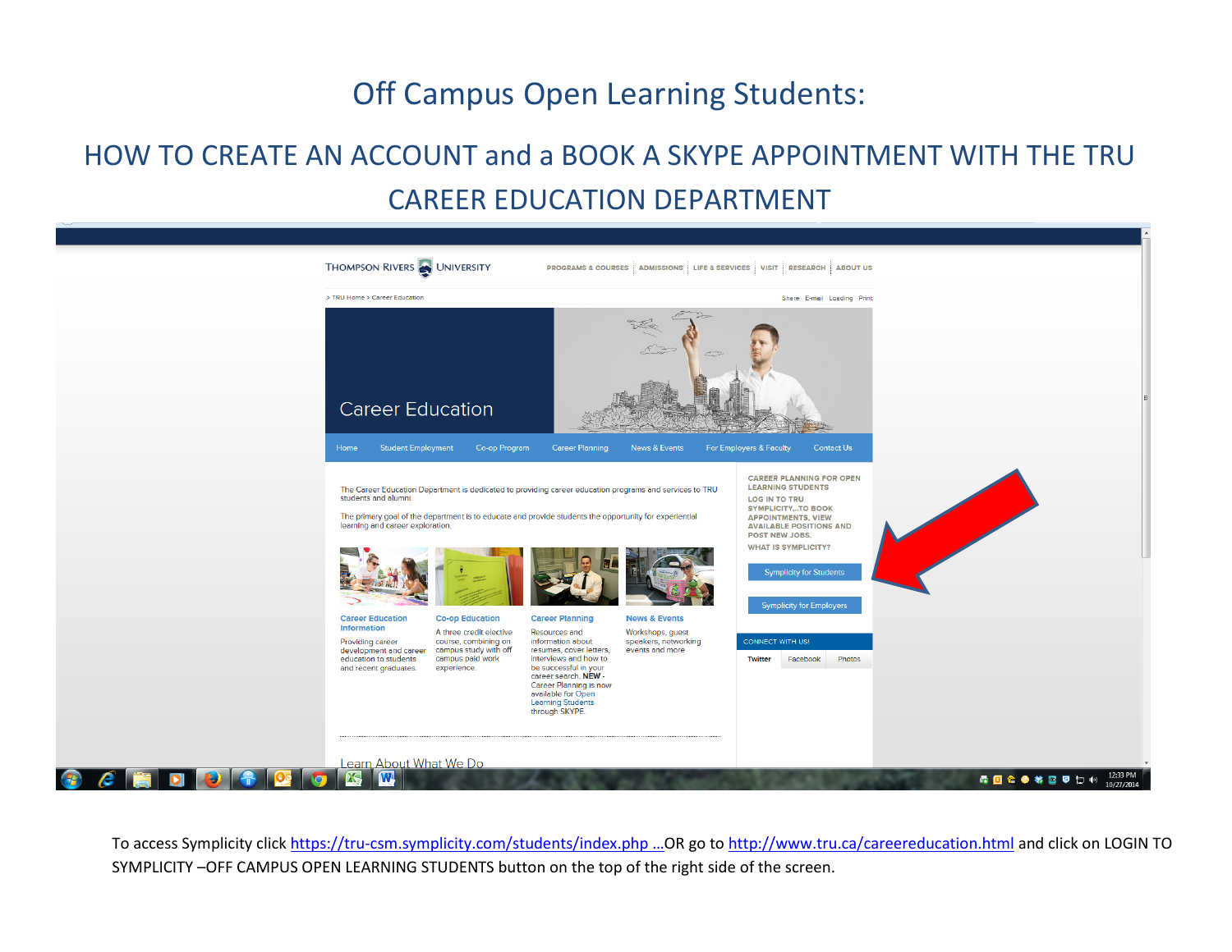## Off Campus Open Learning Students:

## HOW TO CREATE AN ACCOUNT and a BOOK A SKYPE APPOINTMENT WITH THE TRU CAREER EDUCATION DEPARTMENT



To access Symplicity clic[k https://tru-csm.symplicity.com/students/index.php](https://t.co/YKMvrE9V78) ...OR go to<http://www.tru.ca/careereducation.html> and click on LOGIN TO SYMPLICITY –OFF CAMPUS OPEN LEARNING STUDENTS button on the top of the right side of the screen.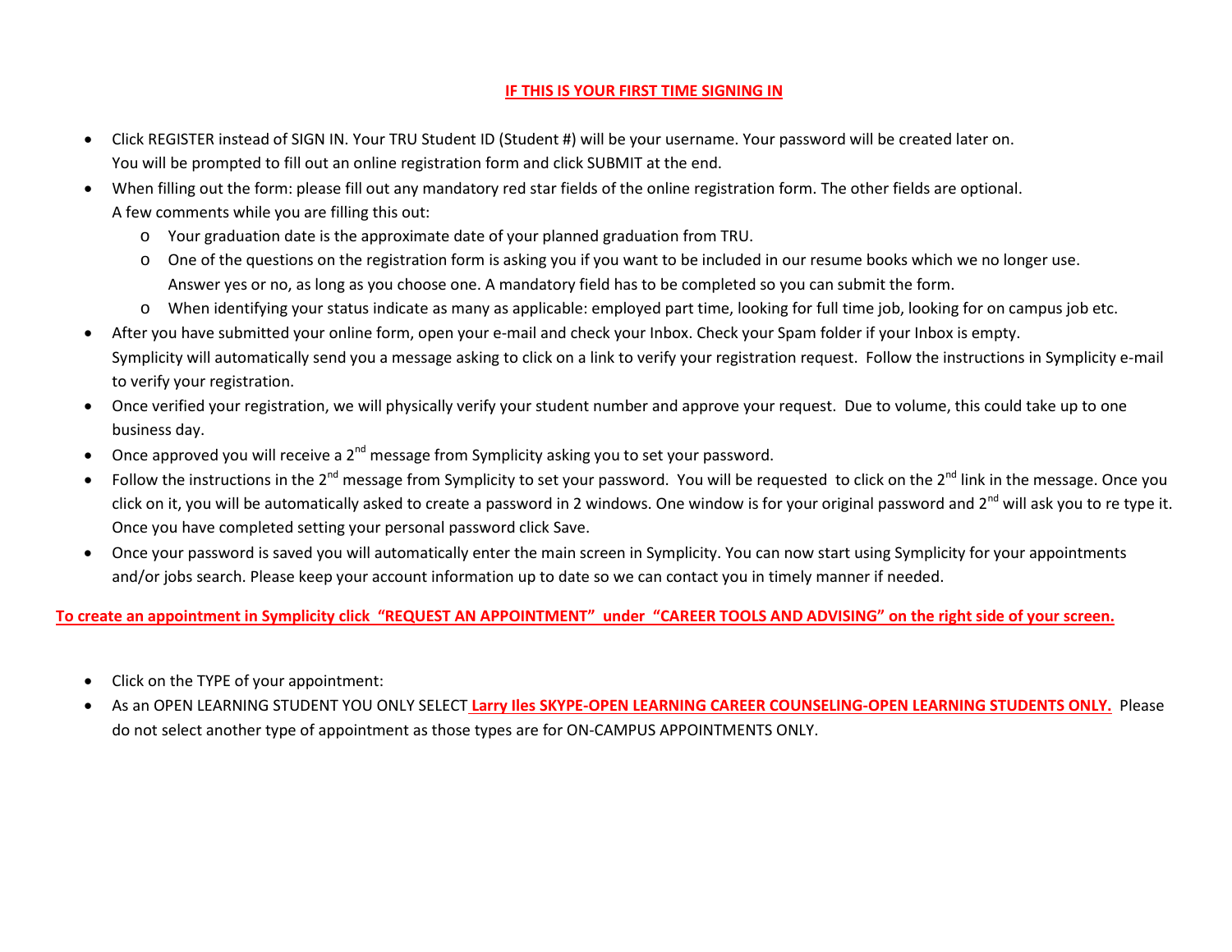## **IF THIS IS YOUR FIRST TIME SIGNING IN**

- Click REGISTER instead of SIGN IN. Your TRU Student ID (Student #) will be your username. Your password will be created later on. You will be prompted to fill out an online registration form and click SUBMIT at the end.
- When filling out the form: please fill out any mandatory red star fields of the online registration form. The other fields are optional. A few comments while you are filling this out:
	- o Your graduation date is the approximate date of your planned graduation from TRU.
	- o One of the questions on the registration form is asking you if you want to be included in our resume books which we no longer use. Answer yes or no, as long as you choose one. A mandatory field has to be completed so you can submit the form.
	- o When identifying your status indicate as many as applicable: employed part time, looking for full time job, looking for on campus job etc.
- After you have submitted your online form, open your e-mail and check your Inbox. Check your Spam folder if your Inbox is empty. Symplicity will automatically send you a message asking to click on a link to verify your registration request. Follow the instructions in Symplicity e-mail to verify your registration.
- Once verified your registration, we will physically verify your student number and approve your request. Due to volume, this could take up to one business day.
- Once approved you will receive a 2<sup>nd</sup> message from Symplicity asking you to set your password.
- Follow the instructions in the  $2^{nd}$  message from Symplicity to set your password. You will be requested to click on the  $2^{nd}$  link in the message. Once you click on it, you will be automatically asked to create a password in 2 windows. One window is for your original password and 2<sup>nd</sup> will ask you to re type it. Once you have completed setting your personal password click Save.
- Once your password is saved you will automatically enter the main screen in Symplicity. You can now start using Symplicity for your appointments and/or jobs search. Please keep your account information up to date so we can contact you in timely manner if needed.

## **To create an appointment in Symplicity click "REQUEST AN APPOINTMENT" under "CAREER TOOLS AND ADVISING" on the right side of your screen.**

- Click on the TYPE of your appointment:
- As an OPEN LEARNING STUDENT YOU ONLY SELECT **Larry Iles SKYPE-OPEN LEARNING CAREER COUNSELING-OPEN LEARNING STUDENTS ONLY.** Please do not select another type of appointment as those types are for ON-CAMPUS APPOINTMENTS ONLY.